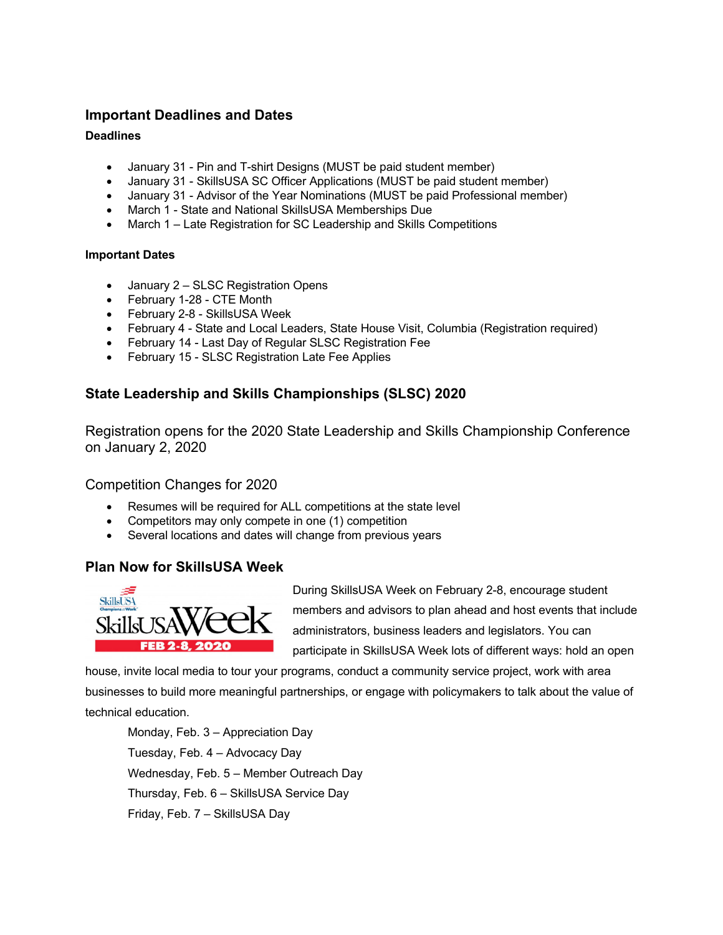## **Important Deadlines and Dates**

#### **Deadlines**

- January 31 Pin and T-shirt Designs (MUST be paid student member)
- January 31 SkillsUSA SC Officer Applications (MUST be paid student member)
- January 31 Advisor of the Year Nominations (MUST be paid Professional member)
- March 1 State and National SkillsUSA Memberships Due
- March 1 Late Registration for SC Leadership and Skills Competitions

#### **Important Dates**

- January 2 SLSC Registration Opens
- February 1-28 CTE Month
- February 2-8 SkillsUSA Week
- February 4 State and Local Leaders, State House Visit, Columbia (Registration required)
- February 14 Last Day of Regular SLSC Registration Fee
- February 15 SLSC Registration Late Fee Applies

## **State Leadership and Skills Championships (SLSC) 2020**

Registration opens for the 2020 State Leadership and Skills Championship Conference on January 2, 2020

Competition Changes for 2020

- Resumes will be required for ALL competitions at the state level
- Competitors may only compete in one (1) competition
- Several locations and dates will change from previous years

### **Plan Now for SkillsUSA Week**



During SkillsUSA Week on February 2-8, encourage student members and advisors to plan ahead and host events that include administrators, business leaders and legislators. You can participate in SkillsUSA Week lots of different ways: hold an open

house, invite local media to tour your programs, conduct a community service project, work with area businesses to build more meaningful partnerships, or engage with policymakers to talk about the value of technical education.

Monday, Feb. 3 – Appreciation Day Tuesday, Feb. 4 – Advocacy Day Wednesday, Feb. 5 – Member Outreach Day Thursday, Feb. 6 – SkillsUSA Service Day Friday, Feb. 7 – SkillsUSA Day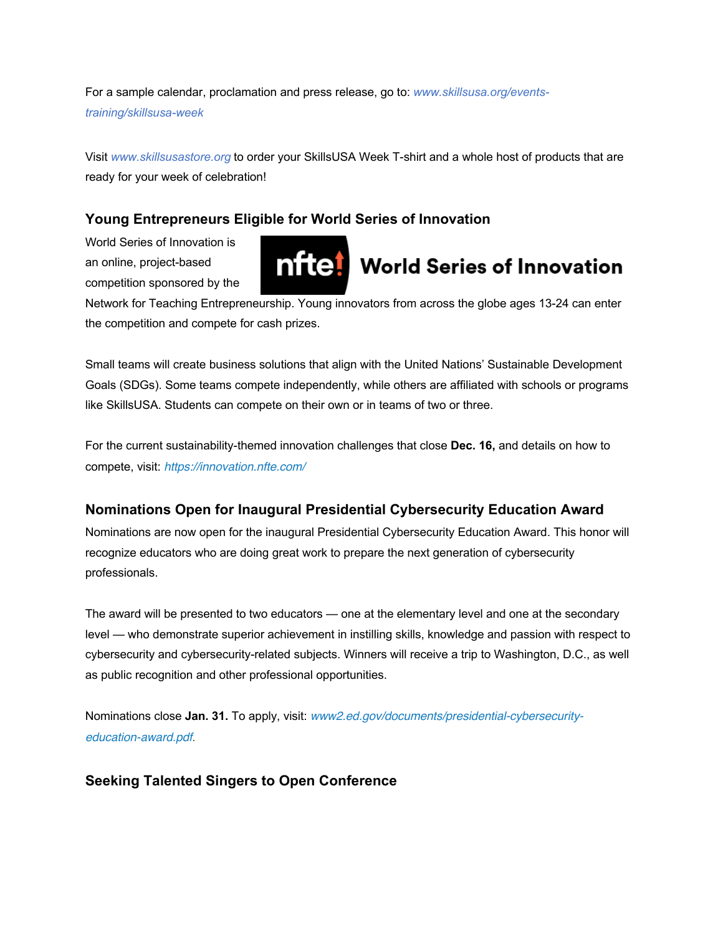For a sample calendar, proclamation and press release, go to: *www.skillsusa.org/eventstraining/skillsusa-week*

Visit *www.skillsusastore.org* to order your SkillsUSA Week T-shirt and a whole host of products that are ready for your week of celebration!

# **Young Entrepreneurs Eligible for World Series of Innovation**

World Series of Innovation is an online, project-based competition sponsored by the



Network for Teaching Entrepreneurship. Young innovators from across the globe ages 13-24 can enter the competition and compete for cash prizes.

Small teams will create business solutions that align with the United Nations' Sustainable Development Goals (SDGs). Some teams compete independently, while others are affiliated with schools or programs like SkillsUSA. Students can compete on their own or in teams of two or three.

For the current sustainability-themed innovation challenges that close **Dec. 16,** and details on how to compete, visit: *https://innovation.nfte.com/*

# **Nominations Open for Inaugural Presidential Cybersecurity Education Award**

Nominations are now open for the inaugural Presidential Cybersecurity Education Award. This honor will recognize educators who are doing great work to prepare the next generation of cybersecurity professionals.

The award will be presented to two educators — one at the elementary level and one at the secondary level — who demonstrate superior achievement in instilling skills, knowledge and passion with respect to cybersecurity and cybersecurity-related subjects. Winners will receive a trip to Washington, D.C., as well as public recognition and other professional opportunities.

Nominations close **Jan. 31.** To apply, visit: *www2.ed.gov/documents/presidential-cybersecurityeducation-award.pdf*.

# **Seeking Talented Singers to Open Conference**